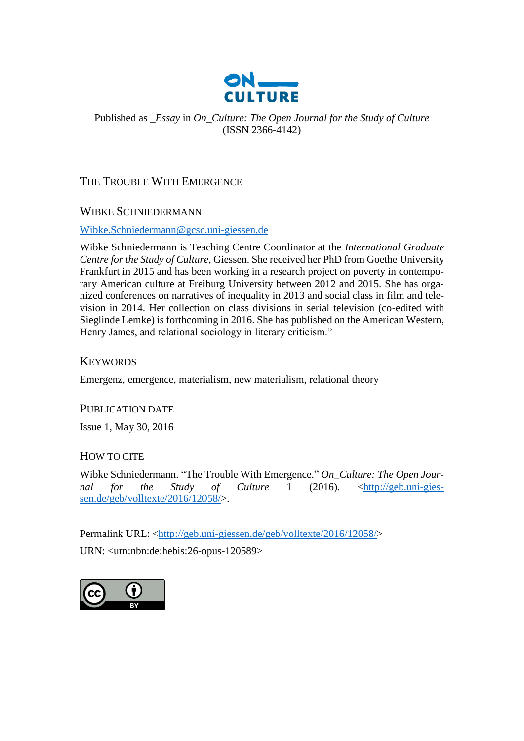

### Published as *\_Essay* in *On\_Culture: The Open Journal for the Study of Culture* (ISSN 2366-4142)

## THE TROUBLE WITH EMERGENCE

## WIBKE SCHNIEDERMANN

#### [Wibke.Schniedermann@gcsc.uni-giessen.de](mailto:Wibke.Schniedermann@gcsc.uni-giessen.de)

Wibke Schniedermann is Teaching Centre Coordinator at the *International Graduate Centre for the Study of Culture*, Giessen. She received her PhD from Goethe University Frankfurt in 2015 and has been working in a research project on poverty in contemporary American culture at Freiburg University between 2012 and 2015. She has organized conferences on narratives of inequality in 2013 and social class in film and television in 2014. Her collection on class divisions in serial television (co-edited with Sieglinde Lemke) is forthcoming in 2016. She has published on the American Western, Henry James, and relational sociology in literary criticism."

## **KEYWORDS**

Emergenz, emergence, materialism, new materialism, relational theory

#### PUBLICATION DATE

Issue 1, May 30, 2016

## HOW TO CITE

Wibke Schniedermann. "The Trouble With Emergence." *On\_Culture: The Open Journal for the Study of Culture* 1 (2016). [<http://geb.uni-gies](http://geb.uni-giessen.de/geb/volltexte/2016/12058/)[sen.de/geb/volltexte/2016/12058/>](http://geb.uni-giessen.de/geb/volltexte/2016/12058/).

Permalink URL: [<http://geb.uni-giessen.de/geb/volltexte/2016/12058/>](http://geb.uni-giessen.de/geb/volltexte/2016/12058/)

URN: <urn:nbn:de:hebis:26-opus-120589>

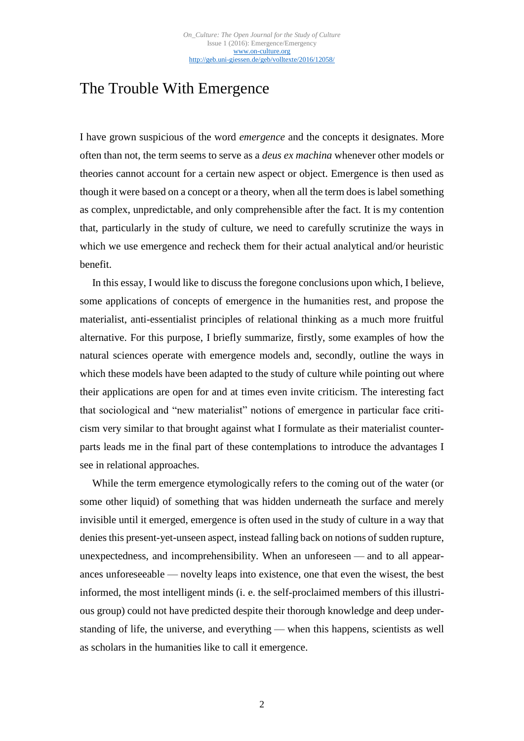# The Trouble With Emergence

I have grown suspicious of the word *emergence* and the concepts it designates. More often than not, the term seems to serve as a *deus ex machina* whenever other models or theories cannot account for a certain new aspect or object. Emergence is then used as though it were based on a concept or a theory, when all the term does is label something as complex, unpredictable, and only comprehensible after the fact. It is my contention that, particularly in the study of culture, we need to carefully scrutinize the ways in which we use emergence and recheck them for their actual analytical and/or heuristic benefit.

In this essay, I would like to discuss the foregone conclusions upon which, I believe, some applications of concepts of emergence in the humanities rest, and propose the materialist, anti-essentialist principles of relational thinking as a much more fruitful alternative. For this purpose, I briefly summarize, firstly, some examples of how the natural sciences operate with emergence models and, secondly, outline the ways in which these models have been adapted to the study of culture while pointing out where their applications are open for and at times even invite criticism. The interesting fact that sociological and "new materialist" notions of emergence in particular face criticism very similar to that brought against what I formulate as their materialist counterparts leads me in the final part of these contemplations to introduce the advantages I see in relational approaches.

While the term emergence etymologically refers to the coming out of the water (or some other liquid) of something that was hidden underneath the surface and merely invisible until it emerged, emergence is often used in the study of culture in a way that denies this present-yet-unseen aspect, instead falling back on notions of sudden rupture, unexpectedness, and incomprehensibility. When an unforeseen — and to all appearances unforeseeable — novelty leaps into existence, one that even the wisest, the best informed, the most intelligent minds (i. e. the self-proclaimed members of this illustrious group) could not have predicted despite their thorough knowledge and deep understanding of life, the universe, and everything — when this happens, scientists as well as scholars in the humanities like to call it emergence.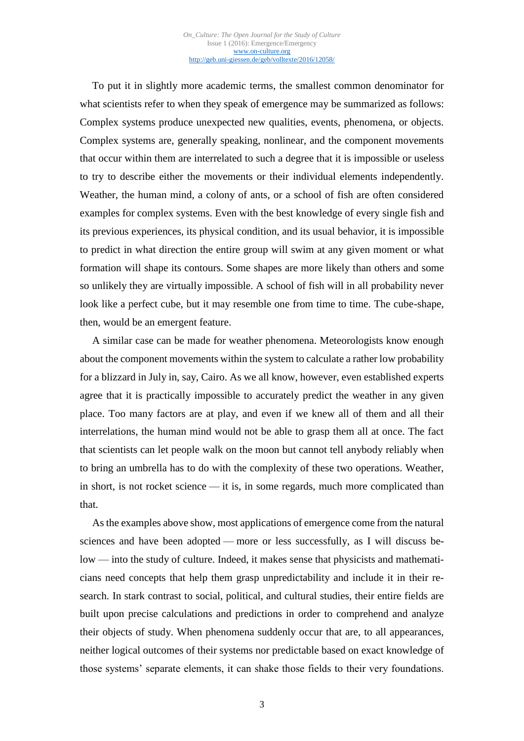To put it in slightly more academic terms, the smallest common denominator for what scientists refer to when they speak of emergence may be summarized as follows: Complex systems produce unexpected new qualities, events, phenomena, or objects. Complex systems are, generally speaking, nonlinear, and the component movements that occur within them are interrelated to such a degree that it is impossible or useless to try to describe either the movements or their individual elements independently. Weather, the human mind, a colony of ants, or a school of fish are often considered examples for complex systems. Even with the best knowledge of every single fish and its previous experiences, its physical condition, and its usual behavior, it is impossible to predict in what direction the entire group will swim at any given moment or what formation will shape its contours. Some shapes are more likely than others and some so unlikely they are virtually impossible. A school of fish will in all probability never look like a perfect cube, but it may resemble one from time to time. The cube-shape, then, would be an emergent feature.

A similar case can be made for weather phenomena. Meteorologists know enough about the component movements within the system to calculate a rather low probability for a blizzard in July in, say, Cairo. As we all know, however, even established experts agree that it is practically impossible to accurately predict the weather in any given place. Too many factors are at play, and even if we knew all of them and all their interrelations, the human mind would not be able to grasp them all at once. The fact that scientists can let people walk on the moon but cannot tell anybody reliably when to bring an umbrella has to do with the complexity of these two operations. Weather, in short, is not rocket science — it is, in some regards, much more complicated than that.

As the examples above show, most applications of emergence come from the natural sciences and have been adopted — more or less successfully, as I will discuss below — into the study of culture. Indeed, it makes sense that physicists and mathematicians need concepts that help them grasp unpredictability and include it in their research. In stark contrast to social, political, and cultural studies, their entire fields are built upon precise calculations and predictions in order to comprehend and analyze their objects of study. When phenomena suddenly occur that are, to all appearances, neither logical outcomes of their systems nor predictable based on exact knowledge of those systems' separate elements, it can shake those fields to their very foundations.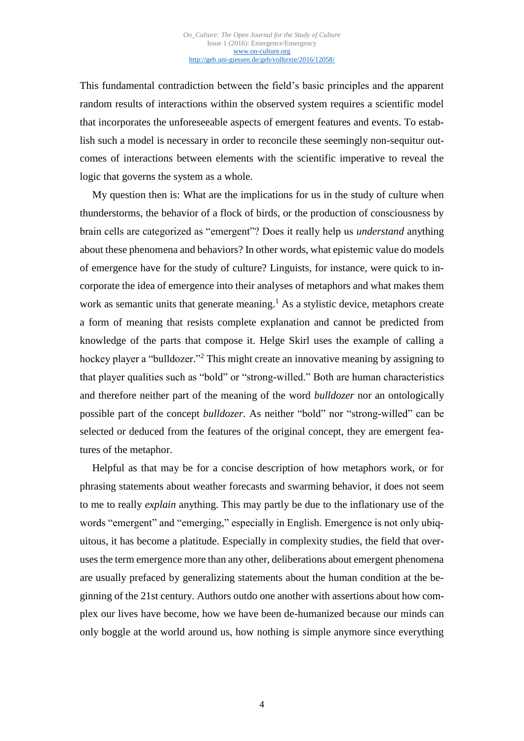This fundamental contradiction between the field's basic principles and the apparent random results of interactions within the observed system requires a scientific model that incorporates the unforeseeable aspects of emergent features and events. To establish such a model is necessary in order to reconcile these seemingly non-sequitur outcomes of interactions between elements with the scientific imperative to reveal the logic that governs the system as a whole.

My question then is: What are the implications for us in the study of culture when thunderstorms, the behavior of a flock of birds, or the production of consciousness by brain cells are categorized as "emergent"? Does it really help us *understand* anything about these phenomena and behaviors? In other words, what epistemic value do models of emergence have for the study of culture? Linguists, for instance, were quick to incorporate the idea of emergence into their analyses of metaphors and what makes them work as semantic units that generate meaning.<sup>1</sup> As a stylistic device, metaphors create a form of meaning that resists complete explanation and cannot be predicted from knowledge of the parts that compose it. Helge Skirl uses the example of calling a hockey player a "bulldozer."<sup>2</sup> This might create an innovative meaning by assigning to that player qualities such as "bold" or "strong-willed." Both are human characteristics and therefore neither part of the meaning of the word *bulldozer* nor an ontologically possible part of the concept *bulldozer*. As neither "bold" nor "strong-willed" can be selected or deduced from the features of the original concept, they are emergent features of the metaphor.

Helpful as that may be for a concise description of how metaphors work, or for phrasing statements about weather forecasts and swarming behavior, it does not seem to me to really *explain* anything. This may partly be due to the inflationary use of the words "emergent" and "emerging," especially in English. Emergence is not only ubiquitous, it has become a platitude. Especially in complexity studies, the field that overuses the term emergence more than any other, deliberations about emergent phenomena are usually prefaced by generalizing statements about the human condition at the beginning of the 21st century. Authors outdo one another with assertions about how complex our lives have become, how we have been de-humanized because our minds can only boggle at the world around us, how nothing is simple anymore since everything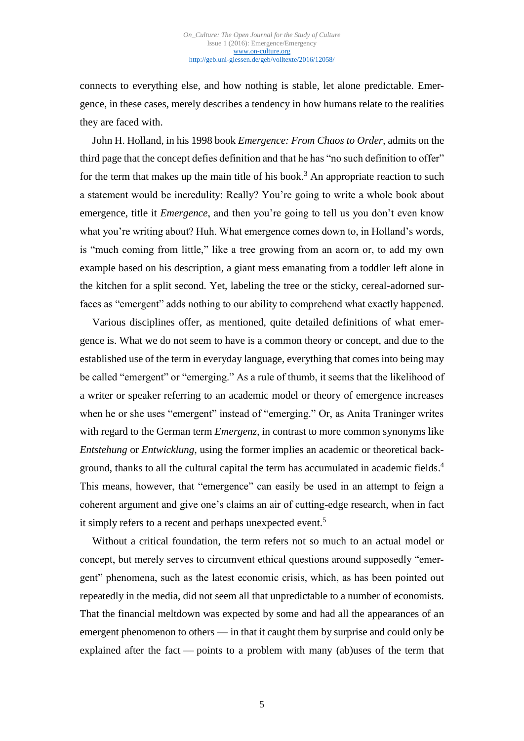connects to everything else, and how nothing is stable, let alone predictable. Emergence, in these cases, merely describes a tendency in how humans relate to the realities they are faced with.

John H. Holland, in his 1998 book *Emergence: From Chaos to Order*, admits on the third page that the concept defies definition and that he has "no such definition to offer" for the term that makes up the main title of his book.<sup>3</sup> An appropriate reaction to such a statement would be incredulity: Really? You're going to write a whole book about emergence, title it *Emergence*, and then you're going to tell us you don't even know what you're writing about? Huh. What emergence comes down to, in Holland's words, is "much coming from little," like a tree growing from an acorn or, to add my own example based on his description, a giant mess emanating from a toddler left alone in the kitchen for a split second. Yet, labeling the tree or the sticky, cereal-adorned surfaces as "emergent" adds nothing to our ability to comprehend what exactly happened.

Various disciplines offer, as mentioned, quite detailed definitions of what emergence is. What we do not seem to have is a common theory or concept, and due to the established use of the term in everyday language, everything that comes into being may be called "emergent" or "emerging." As a rule of thumb, it seems that the likelihood of a writer or speaker referring to an academic model or theory of emergence increases when he or she uses "emergent" instead of "emerging." Or, as Anita Traninger writes with regard to the German term *Emergenz*, in contrast to more common synonyms like *Entstehung* or *Entwicklung*, using the former implies an academic or theoretical background, thanks to all the cultural capital the term has accumulated in academic fields.<sup>4</sup> This means, however, that "emergence" can easily be used in an attempt to feign a coherent argument and give one's claims an air of cutting-edge research, when in fact it simply refers to a recent and perhaps unexpected event.<sup>5</sup>

Without a critical foundation, the term refers not so much to an actual model or concept, but merely serves to circumvent ethical questions around supposedly "emergent" phenomena, such as the latest economic crisis, which, as has been pointed out repeatedly in the media, did not seem all that unpredictable to a number of economists. That the financial meltdown was expected by some and had all the appearances of an emergent phenomenon to others — in that it caught them by surprise and could only be explained after the fact — points to a problem with many (ab)uses of the term that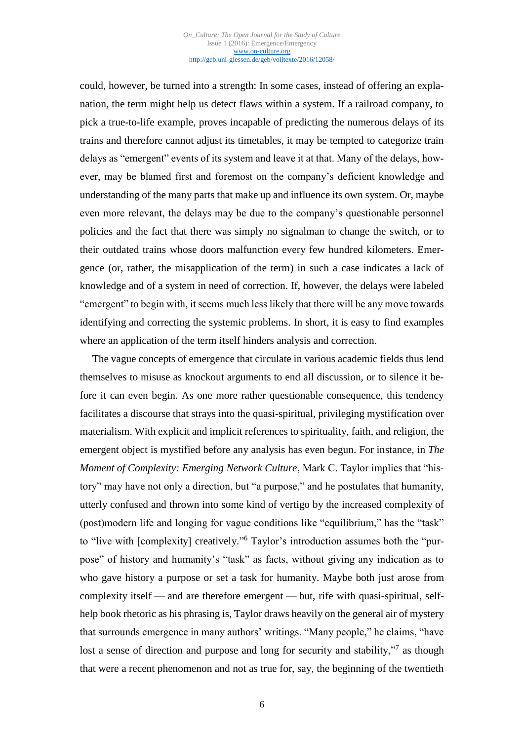could, however, be turned into a strength: In some cases, instead of offering an explanation, the term might help us detect flaws within a system. If a railroad company, to pick a true-to-life example, proves incapable of predicting the numerous delays of its trains and therefore cannot adjust its timetables, it may be tempted to categorize train delays as "emergent" events of its system and leave it at that. Many of the delays, however, may be blamed first and foremost on the company's deficient knowledge and understanding of the many parts that make up and influence its own system. Or, maybe even more relevant, the delays may be due to the company's questionable personnel policies and the fact that there was simply no signalman to change the switch, or to their outdated trains whose doors malfunction every few hundred kilometers. Emergence (or, rather, the misapplication of the term) in such a case indicates a lack of knowledge and of a system in need of correction. If, however, the delays were labeled "emergent" to begin with, it seems much less likely that there will be any move towards identifying and correcting the systemic problems. In short, it is easy to find examples where an application of the term itself hinders analysis and correction.

The vague concepts of emergence that circulate in various academic fields thus lend themselves to misuse as knockout arguments to end all discussion, or to silence it before it can even begin. As one more rather questionable consequence, this tendency facilitates a discourse that strays into the quasi-spiritual, privileging mystification over materialism. With explicit and implicit references to spirituality, faith, and religion, the emergent object is mystified before any analysis has even begun. For instance, in *The Moment of Complexity: Emerging Network Culture*, Mark C. Taylor implies that "history" may have not only a direction, but "a purpose," and he postulates that humanity, utterly confused and thrown into some kind of vertigo by the increased complexity of (post)modern life and longing for vague conditions like "equilibrium," has the "task" to "live with [complexity] creatively." <sup>6</sup> Taylor's introduction assumes both the "purpose" of history and humanity's "task" as facts, without giving any indication as to who gave history a purpose or set a task for humanity. Maybe both just arose from complexity itself — and are therefore emergent — but, rife with quasi-spiritual, selfhelp book rhetoric as his phrasing is, Taylor draws heavily on the general air of mystery that surrounds emergence in many authors' writings. "Many people," he claims, "have lost a sense of direction and purpose and long for security and stability,"<sup>7</sup> as though that were a recent phenomenon and not as true for, say, the beginning of the twentieth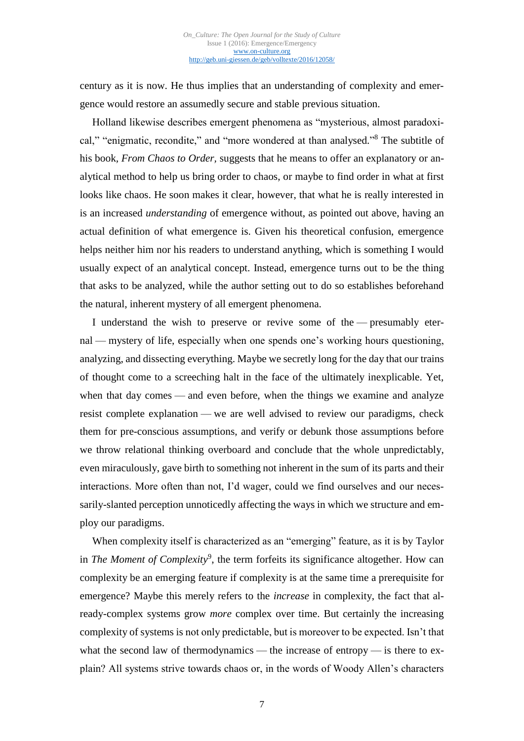century as it is now. He thus implies that an understanding of complexity and emergence would restore an assumedly secure and stable previous situation.

Holland likewise describes emergent phenomena as "mysterious, almost paradoxical," "enigmatic, recondite," and "more wondered at than analysed."<sup>8</sup> The subtitle of his book*, From Chaos to Order,* suggests that he means to offer an explanatory or analytical method to help us bring order to chaos, or maybe to find order in what at first looks like chaos. He soon makes it clear, however, that what he is really interested in is an increased *understanding* of emergence without, as pointed out above, having an actual definition of what emergence is. Given his theoretical confusion, emergence helps neither him nor his readers to understand anything, which is something I would usually expect of an analytical concept. Instead, emergence turns out to be the thing that asks to be analyzed, while the author setting out to do so establishes beforehand the natural, inherent mystery of all emergent phenomena.

I understand the wish to preserve or revive some of the — presumably eternal — mystery of life, especially when one spends one's working hours questioning, analyzing, and dissecting everything. Maybe we secretly long for the day that our trains of thought come to a screeching halt in the face of the ultimately inexplicable. Yet, when that day comes — and even before, when the things we examine and analyze resist complete explanation — we are well advised to review our paradigms, check them for pre-conscious assumptions, and verify or debunk those assumptions before we throw relational thinking overboard and conclude that the whole unpredictably, even miraculously, gave birth to something not inherent in the sum of its parts and their interactions. More often than not, I'd wager, could we find ourselves and our necessarily-slanted perception unnoticedly affecting the ways in which we structure and employ our paradigms.

When complexity itself is characterized as an "emerging" feature, as it is by Taylor in *The Moment of Complexity*<sup>9</sup>, the term forfeits its significance altogether. How can complexity be an emerging feature if complexity is at the same time a prerequisite for emergence? Maybe this merely refers to the *increase* in complexity, the fact that already-complex systems grow *more* complex over time. But certainly the increasing complexity of systems is not only predictable, but is moreover to be expected. Isn't that what the second law of thermodynamics — the increase of entropy — is there to explain? All systems strive towards chaos or, in the words of Woody Allen's characters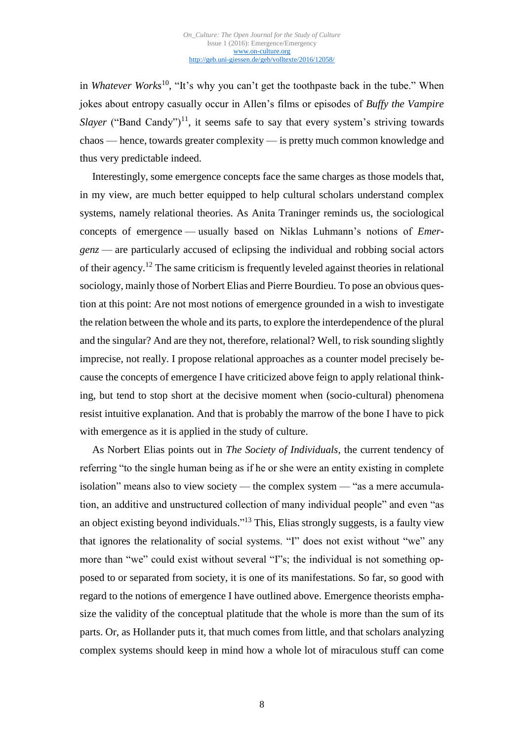in *Whatever Works*<sup>10</sup>, "It's why you can't get the toothpaste back in the tube." When jokes about entropy casually occur in Allen's films or episodes of *Buffy the Vampire Slayer* ("Band Candy")<sup>11</sup>, it seems safe to say that every system's striving towards chaos — hence, towards greater complexity — is pretty much common knowledge and thus very predictable indeed.

Interestingly, some emergence concepts face the same charges as those models that, in my view, are much better equipped to help cultural scholars understand complex systems, namely relational theories. As Anita Traninger reminds us, the sociological concepts of emergence — usually based on Niklas Luhmann's notions of *Emergenz* — are particularly accused of eclipsing the individual and robbing social actors of their agency.<sup>12</sup> The same criticism is frequently leveled against theories in relational sociology, mainly those of Norbert Elias and Pierre Bourdieu. To pose an obvious question at this point: Are not most notions of emergence grounded in a wish to investigate the relation between the whole and its parts, to explore the interdependence of the plural and the singular? And are they not, therefore, relational? Well, to risk sounding slightly imprecise, not really. I propose relational approaches as a counter model precisely because the concepts of emergence I have criticized above feign to apply relational thinking, but tend to stop short at the decisive moment when (socio-cultural) phenomena resist intuitive explanation. And that is probably the marrow of the bone I have to pick with emergence as it is applied in the study of culture.

As Norbert Elias points out in *The Society of Individuals*, the current tendency of referring "to the single human being as if he or she were an entity existing in complete isolation" means also to view society — the complex system — "as a mere accumulation, an additive and unstructured collection of many individual people" and even "as an object existing beyond individuals."<sup>13</sup> This, Elias strongly suggests, is a faulty view that ignores the relationality of social systems. "I" does not exist without "we" any more than "we" could exist without several "I"s; the individual is not something opposed to or separated from society, it is one of its manifestations. So far, so good with regard to the notions of emergence I have outlined above. Emergence theorists emphasize the validity of the conceptual platitude that the whole is more than the sum of its parts. Or, as Hollander puts it, that much comes from little, and that scholars analyzing complex systems should keep in mind how a whole lot of miraculous stuff can come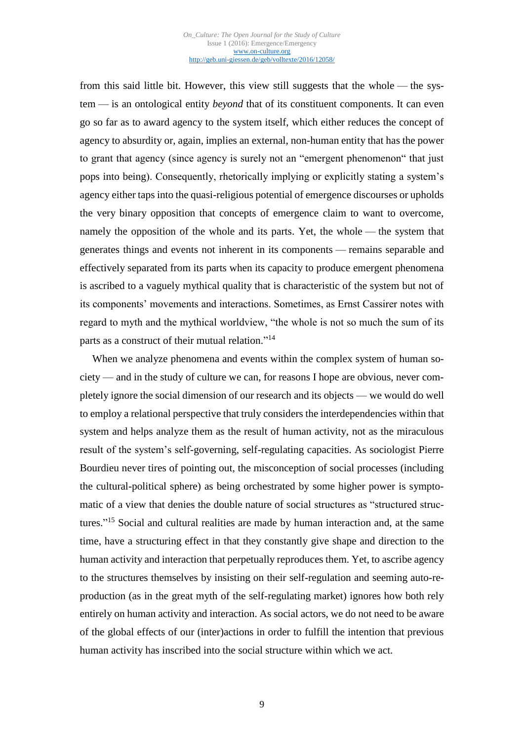from this said little bit. However, this view still suggests that the whole — the system — is an ontological entity *beyond* that of its constituent components. It can even go so far as to award agency to the system itself, which either reduces the concept of agency to absurdity or, again, implies an external, non-human entity that has the power to grant that agency (since agency is surely not an "emergent phenomenon" that just pops into being). Consequently, rhetorically implying or explicitly stating a system's agency either taps into the quasi-religious potential of emergence discourses or upholds the very binary opposition that concepts of emergence claim to want to overcome, namely the opposition of the whole and its parts. Yet, the whole — the system that generates things and events not inherent in its components — remains separable and effectively separated from its parts when its capacity to produce emergent phenomena is ascribed to a vaguely mythical quality that is characteristic of the system but not of its components' movements and interactions. Sometimes, as Ernst Cassirer notes with regard to myth and the mythical worldview, "the whole is not so much the sum of its parts as a construct of their mutual relation."<sup>14</sup>

When we analyze phenomena and events within the complex system of human society — and in the study of culture we can, for reasons I hope are obvious, never completely ignore the social dimension of our research and its objects — we would do well to employ a relational perspective that truly considers the interdependencies within that system and helps analyze them as the result of human activity, not as the miraculous result of the system's self-governing, self-regulating capacities. As sociologist Pierre Bourdieu never tires of pointing out, the misconception of social processes (including the cultural-political sphere) as being orchestrated by some higher power is symptomatic of a view that denies the double nature of social structures as "structured structures."<sup>15</sup> Social and cultural realities are made by human interaction and, at the same time, have a structuring effect in that they constantly give shape and direction to the human activity and interaction that perpetually reproduces them. Yet, to ascribe agency to the structures themselves by insisting on their self-regulation and seeming auto-reproduction (as in the great myth of the self-regulating market) ignores how both rely entirely on human activity and interaction. As social actors, we do not need to be aware of the global effects of our (inter)actions in order to fulfill the intention that previous human activity has inscribed into the social structure within which we act.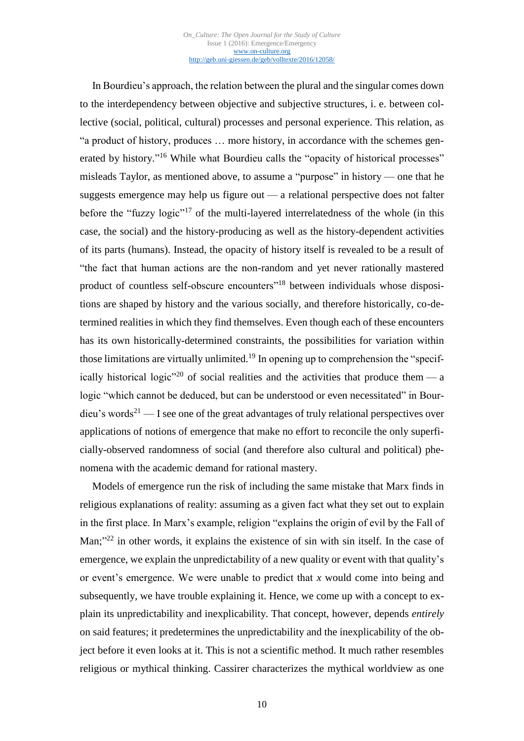In Bourdieu's approach, the relation between the plural and the singular comes down to the interdependency between objective and subjective structures, i. e. between collective (social, political, cultural) processes and personal experience. This relation, as "a product of history, produces … more history, in accordance with the schemes generated by history."<sup>16</sup> While what Bourdieu calls the "opacity of historical processes" misleads Taylor, as mentioned above, to assume a "purpose" in history — one that he suggests emergence may help us figure out — a relational perspective does not falter before the "fuzzy logic"<sup>17</sup> of the multi-layered interrelatedness of the whole (in this case, the social) and the history-producing as well as the history-dependent activities of its parts (humans). Instead, the opacity of history itself is revealed to be a result of "the fact that human actions are the non-random and yet never rationally mastered product of countless self-obscure encounters"<sup>18</sup> between individuals whose dispositions are shaped by history and the various socially, and therefore historically, co-determined realities in which they find themselves. Even though each of these encounters has its own historically-determined constraints, the possibilities for variation within those limitations are virtually unlimited.<sup>19</sup> In opening up to comprehension the "specifically historical logic<sup>"20</sup> of social realities and the activities that produce them — a logic "which cannot be deduced, but can be understood or even necessitated" in Bourdieu's words<sup>21</sup> — I see one of the great advantages of truly relational perspectives over applications of notions of emergence that make no effort to reconcile the only superficially-observed randomness of social (and therefore also cultural and political) phenomena with the academic demand for rational mastery.

Models of emergence run the risk of including the same mistake that Marx finds in religious explanations of reality: assuming as a given fact what they set out to explain in the first place. In Marx's example, religion "explains the origin of evil by the Fall of Man;"<sup>22</sup> in other words, it explains the existence of sin with sin itself. In the case of emergence, we explain the unpredictability of a new quality or event with that quality's or event's emergence. We were unable to predict that *x* would come into being and subsequently, we have trouble explaining it. Hence, we come up with a concept to explain its unpredictability and inexplicability. That concept, however, depends *entirely* on said features; it predetermines the unpredictability and the inexplicability of the object before it even looks at it. This is not a scientific method. It much rather resembles religious or mythical thinking. Cassirer characterizes the mythical worldview as one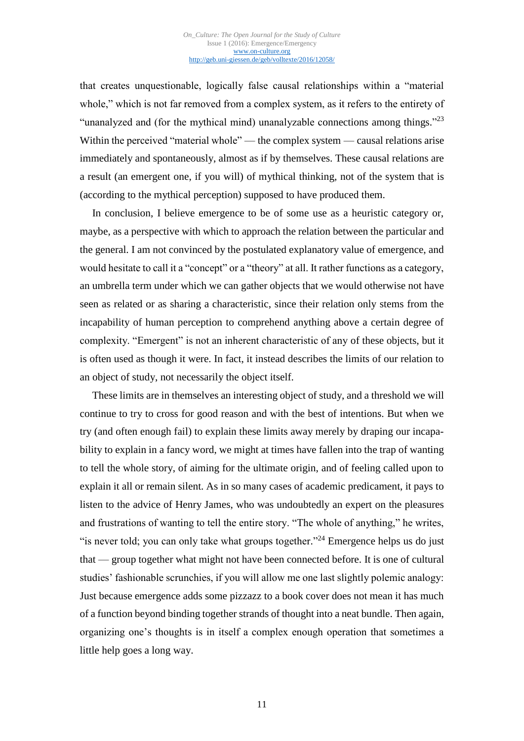that creates unquestionable, logically false causal relationships within a "material whole," which is not far removed from a complex system, as it refers to the entirety of "unanalyzed and (for the mythical mind) unanalyzable connections among things."<sup>23</sup> Within the perceived "material whole" — the complex system — causal relations arise immediately and spontaneously, almost as if by themselves. These causal relations are a result (an emergent one, if you will) of mythical thinking, not of the system that is (according to the mythical perception) supposed to have produced them.

In conclusion, I believe emergence to be of some use as a heuristic category or, maybe, as a perspective with which to approach the relation between the particular and the general. I am not convinced by the postulated explanatory value of emergence, and would hesitate to call it a "concept" or a "theory" at all. It rather functions as a category, an umbrella term under which we can gather objects that we would otherwise not have seen as related or as sharing a characteristic, since their relation only stems from the incapability of human perception to comprehend anything above a certain degree of complexity. "Emergent" is not an inherent characteristic of any of these objects, but it is often used as though it were. In fact, it instead describes the limits of our relation to an object of study, not necessarily the object itself.

These limits are in themselves an interesting object of study, and a threshold we will continue to try to cross for good reason and with the best of intentions. But when we try (and often enough fail) to explain these limits away merely by draping our incapability to explain in a fancy word, we might at times have fallen into the trap of wanting to tell the whole story, of aiming for the ultimate origin, and of feeling called upon to explain it all or remain silent. As in so many cases of academic predicament, it pays to listen to the advice of Henry James, who was undoubtedly an expert on the pleasures and frustrations of wanting to tell the entire story. "The whole of anything," he writes, "is never told; you can only take what groups together."<sup>24</sup> Emergence helps us do just that — group together what might not have been connected before. It is one of cultural studies' fashionable scrunchies, if you will allow me one last slightly polemic analogy: Just because emergence adds some pizzazz to a book cover does not mean it has much of a function beyond binding together strands of thought into a neat bundle. Then again, organizing one's thoughts is in itself a complex enough operation that sometimes a little help goes a long way.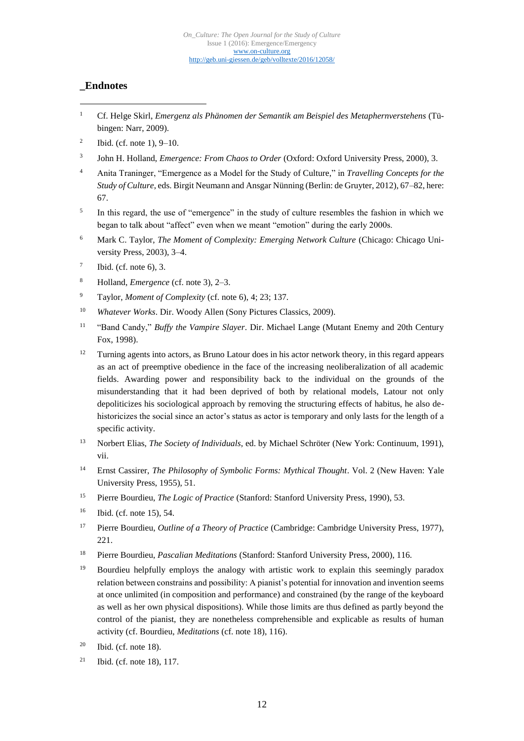### **\_Endnotes**

1

- <sup>1</sup> Cf. Helge Skirl, *Emergenz als Phänomen der Semantik am Beispiel des Metaphernverstehens* (Tübingen: Narr, 2009).
- 2 Ibid. (cf. note 1), 9–10.
- 3 John H. Holland, *Emergence: From Chaos to Order* (Oxford: Oxford University Press, 2000), 3.
- <sup>4</sup> Anita Traninger, "Emergence as a Model for the Study of Culture," in *Travelling Concepts for the Study of Culture*, eds. Birgit Neumann and Ansgar Nünning (Berlin: de Gruyter, 2012), 67–82, here: 67.
- 5 In this regard, the use of "emergence" in the study of culture resembles the fashion in which we began to talk about "affect" even when we meant "emotion" during the early 2000s.
- <sup>6</sup> Mark C. Taylor, *The Moment of Complexity: Emerging Network Culture* (Chicago: Chicago University Press, 2003), 3–4.
- 7 Ibid. (cf. note 6), 3.
- <sup>8</sup> Holland, *Emergence* (cf. note 3), 2–3.
- <sup>9</sup> Taylor, *Moment of Complexity* (cf. note 6), 4; 23; 137.
- <sup>10</sup> *Whatever Works*. Dir. Woody Allen (Sony Pictures Classics, 2009).
- <sup>11</sup> "Band Candy," *Buffy the Vampire Slayer*. Dir. Michael Lange (Mutant Enemy and 20th Century Fox, 1998).
- <sup>12</sup> Turning agents into actors, as Bruno Latour does in his actor network theory, in this regard appears as an act of preemptive obedience in the face of the increasing neoliberalization of all academic fields. Awarding power and responsibility back to the individual on the grounds of the misunderstanding that it had been deprived of both by relational models, Latour not only depoliticizes his sociological approach by removing the structuring effects of habitus, he also dehistoricizes the social since an actor's status as actor is temporary and only lasts for the length of a specific activity.
- <sup>13</sup> Norbert Elias, *The Society of Individuals*, ed. by Michael Schröter (New York: Continuum, 1991), vii.
- <sup>14</sup> Ernst Cassirer, *The Philosophy of Symbolic Forms: Mythical Thought*. Vol. 2 (New Haven: Yale University Press, 1955), 51.
- <sup>15</sup> Pierre Bourdieu, *The Logic of Practice* (Stanford: Stanford University Press, 1990), 53.
- <sup>16</sup> Ibid. (cf. note 15), 54.
- <sup>17</sup> Pierre Bourdieu, *Outline of a Theory of Practice* (Cambridge: Cambridge University Press, 1977), 221.
- <sup>18</sup> Pierre Bourdieu, *Pascalian Meditations* (Stanford: Stanford University Press, 2000), 116.
- <sup>19</sup> Bourdieu helpfully employs the analogy with artistic work to explain this seemingly paradox relation between constrains and possibility: A pianist's potential for innovation and invention seems at once unlimited (in composition and performance) and constrained (by the range of the keyboard as well as her own physical dispositions). While those limits are thus defined as partly beyond the control of the pianist, they are nonetheless comprehensible and explicable as results of human activity (cf. Bourdieu, *Meditations* (cf. note 18), 116).
- $20$  Ibid. (cf. note 18).
- <sup>21</sup> Ibid. (cf. note 18), 117.